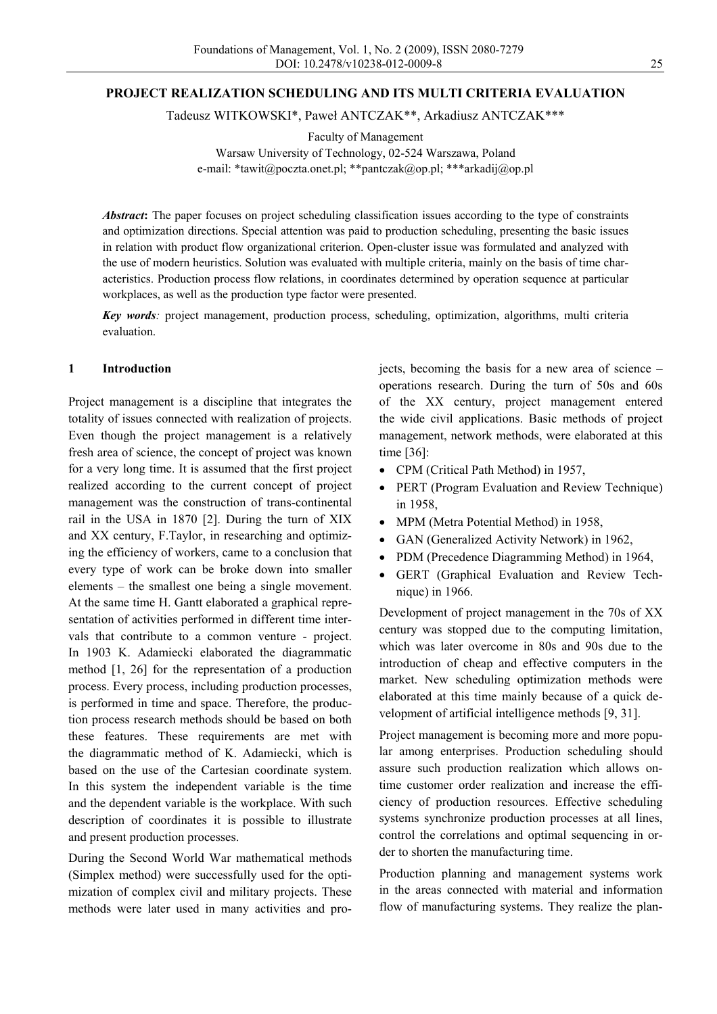## **PROJECT REALIZATION SCHEDULING AND ITS MULTI CRITERIA EVALUATION**

Tadeusz WITKOWSKI\*, Paweł ANTCZAK\*\*, Arkadiusz ANTCZAK\*\*\*

Faculty of Management

Warsaw University of Technology, 02-524 Warszawa, Poland e-mail: \*tawit@poczta.onet.pl; \*\*pantczak@op.pl; \*\*\*arkadij@op.pl

*Abstract*: The paper focuses on project scheduling classification issues according to the type of constraints and optimization directions. Special attention was paid to production scheduling, presenting the basic issues in relation with product flow organizational criterion. Open-cluster issue was formulated and analyzed with the use of modern heuristics. Solution was evaluated with multiple criteria, mainly on the basis of time characteristics. Production process flow relations, in coordinates determined by operation sequence at particular workplaces, as well as the production type factor were presented.

*Key words:* project management, production process, scheduling, optimization, algorithms, multi criteria evaluation.

#### **1 Introduction**

Project management is a discipline that integrates the totality of issues connected with realization of projects. Even though the project management is a relatively fresh area of science, the concept of project was known for a very long time. It is assumed that the first project realized according to the current concept of project management was the construction of trans-continental rail in the USA in 1870 [2]. During the turn of XIX and XX century, F.Taylor, in researching and optimizing the efficiency of workers, came to a conclusion that every type of work can be broke down into smaller elements – the smallest one being a single movement. At the same time H. Gantt elaborated a graphical representation of activities performed in different time intervals that contribute to a common venture - project. In 1903 K. Adamiecki elaborated the diagrammatic method [1, 26] for the representation of a production process. Every process, including production processes, is performed in time and space. Therefore, the production process research methods should be based on both these features. These requirements are met with the diagrammatic method of K. Adamiecki, which is based on the use of the Cartesian coordinate system. In this system the independent variable is the time and the dependent variable is the workplace. With such description of coordinates it is possible to illustrate and present production processes.

During the Second World War mathematical methods (Simplex method) were successfully used for the optimization of complex civil and military projects. These methods were later used in many activities and projects, becoming the basis for a new area of science – operations research. During the turn of 50s and 60s of the XX century, project management entered the wide civil applications. Basic methods of project management, network methods, were elaborated at this time [36]:

- CPM (Critical Path Method) in 1957,
- PERT (Program Evaluation and Review Technique) in 1958,
- MPM (Metra Potential Method) in 1958,
- GAN (Generalized Activity Network) in 1962,
- PDM (Precedence Diagramming Method) in 1964,
- GERT (Graphical Evaluation and Review Technique) in 1966.

Development of project management in the 70s of XX century was stopped due to the computing limitation, which was later overcome in 80s and 90s due to the introduction of cheap and effective computers in the market. New scheduling optimization methods were elaborated at this time mainly because of a quick development of artificial intelligence methods [9, 31].

Project management is becoming more and more popular among enterprises. Production scheduling should assure such production realization which allows ontime customer order realization and increase the efficiency of production resources. Effective scheduling systems synchronize production processes at all lines, control the correlations and optimal sequencing in order to shorten the manufacturing time.

Production planning and management systems work in the areas connected with material and information flow of manufacturing systems. They realize the plan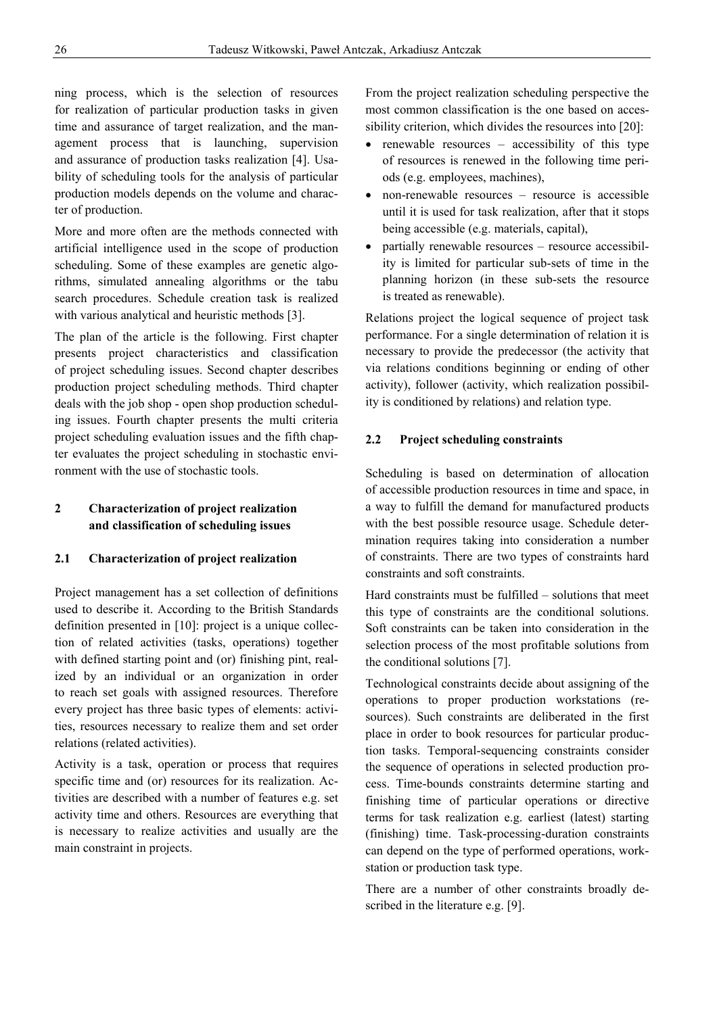ning process, which is the selection of resources for realization of particular production tasks in given time and assurance of target realization, and the management process that is launching, supervision and assurance of production tasks realization [4]. Usability of scheduling tools for the analysis of particular production models depends on the volume and character of production.

More and more often are the methods connected with artificial intelligence used in the scope of production scheduling. Some of these examples are genetic algorithms, simulated annealing algorithms or the tabu search procedures. Schedule creation task is realized with various analytical and heuristic methods [3].

The plan of the article is the following. First chapter presents project characteristics and classification of project scheduling issues. Second chapter describes production project scheduling methods. Third chapter deals with the job shop - open shop production scheduling issues. Fourth chapter presents the multi criteria project scheduling evaluation issues and the fifth chapter evaluates the project scheduling in stochastic environment with the use of stochastic tools.

# **2 Characterization of project realization and classification of scheduling issues**

# **2.1 Characterization of project realization**

Project management has a set collection of definitions used to describe it. According to the British Standards definition presented in [10]: project is a unique collection of related activities (tasks, operations) together with defined starting point and (or) finishing pint, realized by an individual or an organization in order to reach set goals with assigned resources. Therefore every project has three basic types of elements: activities, resources necessary to realize them and set order relations (related activities).

Activity is a task, operation or process that requires specific time and (or) resources for its realization. Activities are described with a number of features e.g. set activity time and others. Resources are everything that is necessary to realize activities and usually are the main constraint in projects.

From the project realization scheduling perspective the most common classification is the one based on accessibility criterion, which divides the resources into [20]:

- $\bullet$  renewable resources accessibility of this type of resources is renewed in the following time periods (e.g. employees, machines),
- non-renewable resources resource is accessible until it is used for task realization, after that it stops being accessible (e.g. materials, capital),
- partially renewable resources resource accessibility is limited for particular sub-sets of time in the planning horizon (in these sub-sets the resource is treated as renewable).

Relations project the logical sequence of project task performance. For a single determination of relation it is necessary to provide the predecessor (the activity that via relations conditions beginning or ending of other activity), follower (activity, which realization possibility is conditioned by relations) and relation type.

### **2.2 Project scheduling constraints**

Scheduling is based on determination of allocation of accessible production resources in time and space, in a way to fulfill the demand for manufactured products with the best possible resource usage. Schedule determination requires taking into consideration a number of constraints. There are two types of constraints hard constraints and soft constraints.

Hard constraints must be fulfilled – solutions that meet this type of constraints are the conditional solutions. Soft constraints can be taken into consideration in the selection process of the most profitable solutions from the conditional solutions [7].

Technological constraints decide about assigning of the operations to proper production workstations (resources). Such constraints are deliberated in the first place in order to book resources for particular production tasks. Temporal-sequencing constraints consider the sequence of operations in selected production process. Time-bounds constraints determine starting and finishing time of particular operations or directive terms for task realization e.g. earliest (latest) starting (finishing) time. Task-processing-duration constraints can depend on the type of performed operations, workstation or production task type.

There are a number of other constraints broadly described in the literature e.g. [9].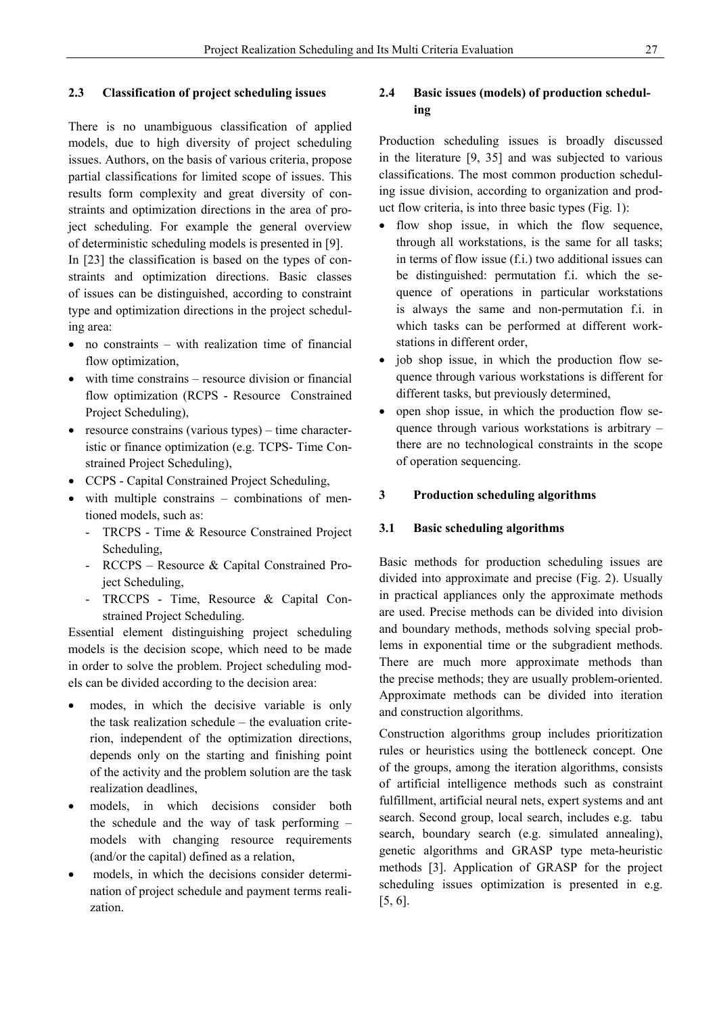## **2.3 Classification of project scheduling issues**

There is no unambiguous classification of applied models, due to high diversity of project scheduling issues. Authors, on the basis of various criteria, propose partial classifications for limited scope of issues. This results form complexity and great diversity of constraints and optimization directions in the area of project scheduling. For example the general overview of deterministic scheduling models is presented in [9].

In [23] the classification is based on the types of constraints and optimization directions. Basic classes of issues can be distinguished, according to constraint type and optimization directions in the project scheduling area:

- no constraints with realization time of financial flow optimization,
- $\bullet$  with time constrains resource division or financial flow optimization (RCPS - Resource Constrained Project Scheduling),
- resource constrains (various types) time characteristic or finance optimization (e.g. TCPS- Time Constrained Project Scheduling),
- CCPS Capital Constrained Project Scheduling,
- with multiple constrains combinations of mentioned models, such as:
	- TRCPS Time & Resource Constrained Project Scheduling,
	- RCCPS Resource & Capital Constrained Project Scheduling,
	- TRCCPS Time, Resource & Capital Constrained Project Scheduling.

Essential element distinguishing project scheduling models is the decision scope, which need to be made in order to solve the problem. Project scheduling models can be divided according to the decision area:

- modes, in which the decisive variable is only the task realization schedule – the evaluation criterion, independent of the optimization directions, depends only on the starting and finishing point of the activity and the problem solution are the task realization deadlines,
- models, in which decisions consider both the schedule and the way of task performing – models with changing resource requirements (and/or the capital) defined as a relation,
- models, in which the decisions consider determination of project schedule and payment terms realization.

# **2.4 Basic issues (models) of production scheduling**

Production scheduling issues is broadly discussed in the literature [9, 35] and was subjected to various classifications. The most common production scheduling issue division, according to organization and product flow criteria, is into three basic types (Fig. 1):

- flow shop issue, in which the flow sequence, through all workstations, is the same for all tasks; in terms of flow issue (f.i.) two additional issues can be distinguished: permutation f.i. which the sequence of operations in particular workstations is always the same and non-permutation f.i. in which tasks can be performed at different workstations in different order,
- job shop issue, in which the production flow sequence through various workstations is different for different tasks, but previously determined,
- open shop issue, in which the production flow sequence through various workstations is arbitrary – there are no technological constraints in the scope of operation sequencing.

# **3 Production scheduling algorithms**

# **3.1 Basic scheduling algorithms**

Basic methods for production scheduling issues are divided into approximate and precise (Fig. 2). Usually in practical appliances only the approximate methods are used. Precise methods can be divided into division and boundary methods, methods solving special problems in exponential time or the subgradient methods. There are much more approximate methods than the precise methods; they are usually problem-oriented. Approximate methods can be divided into iteration and construction algorithms.

Construction algorithms group includes prioritization rules or heuristics using the bottleneck concept. One of the groups, among the iteration algorithms, consists of artificial intelligence methods such as constraint fulfillment, artificial neural nets, expert systems and ant search. Second group, local search, includes e.g. tabu search, boundary search (e.g. simulated annealing), genetic algorithms and GRASP type meta-heuristic methods [3]. Application of GRASP for the project scheduling issues optimization is presented in e.g. [5, 6].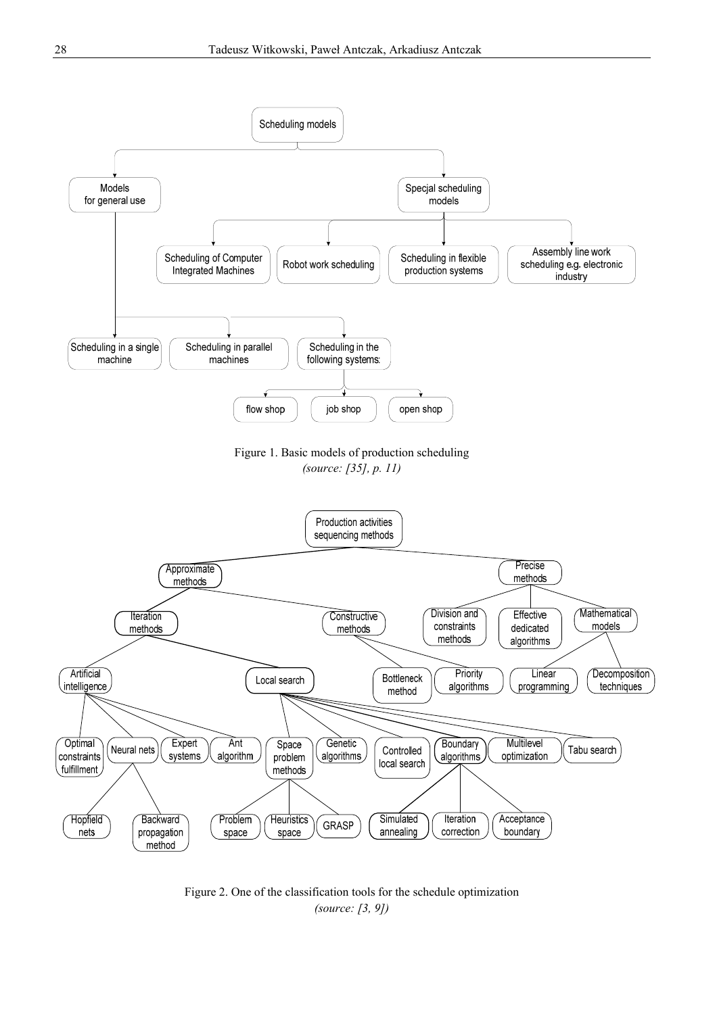

Figure 2. One of the classification tools for the schedule optimization *(source: [3, 9])*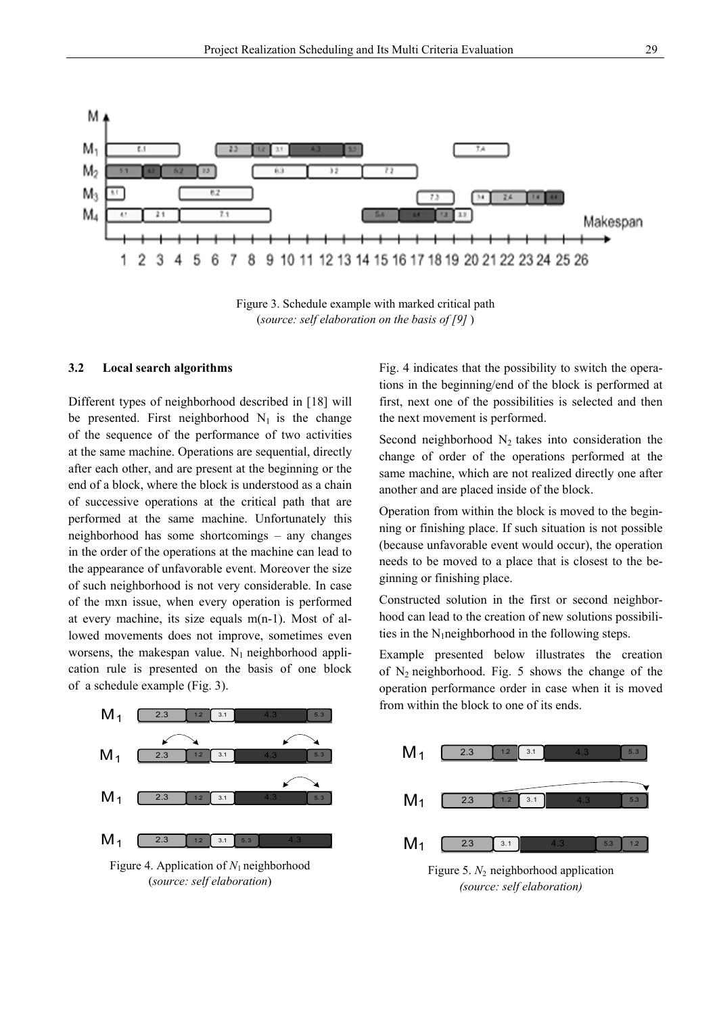

Figure 3. Schedule example with marked critical path (*source: self elaboration on the basis of [9]* )

#### **3.2 Local search algorithms**

Different types of neighborhood described in [18] will be presented. First neighborhood  $N_1$  is the change of the sequence of the performance of two activities at the same machine. Operations are sequential, directly after each other, and are present at the beginning or the end of a block, where the block is understood as a chain of successive operations at the critical path that are performed at the same machine. Unfortunately this neighborhood has some shortcomings – any changes in the order of the operations at the machine can lead to the appearance of unfavorable event. Moreover the size of such neighborhood is not very considerable. In case of the mxn issue, when every operation is performed at every machine, its size equals m(n-1). Most of allowed movements does not improve, sometimes even worsens, the makespan value.  $N_1$  neighborhood application rule is presented on the basis of one block of a schedule example (Fig. 3).



Figure 4. Application of *N*1 neighborhood (*source: self elaboration*)

Fig. 4 indicates that the possibility to switch the operations in the beginning/end of the block is performed at first, next one of the possibilities is selected and then the next movement is performed.

Second neighborhood  $N_2$  takes into consideration the change of order of the operations performed at the same machine, which are not realized directly one after another and are placed inside of the block.

Operation from within the block is moved to the beginning or finishing place. If such situation is not possible (because unfavorable event would occur), the operation needs to be moved to a place that is closest to the beginning or finishing place.

Constructed solution in the first or second neighborhood can lead to the creation of new solutions possibilities in the N<sub>1</sub> neighborhood in the following steps.

Example presented below illustrates the creation of  $N_2$  neighborhood. Fig. 5 shows the change of the operation performance order in case when it is moved from within the block to one of its ends.



*(source: self elaboration)*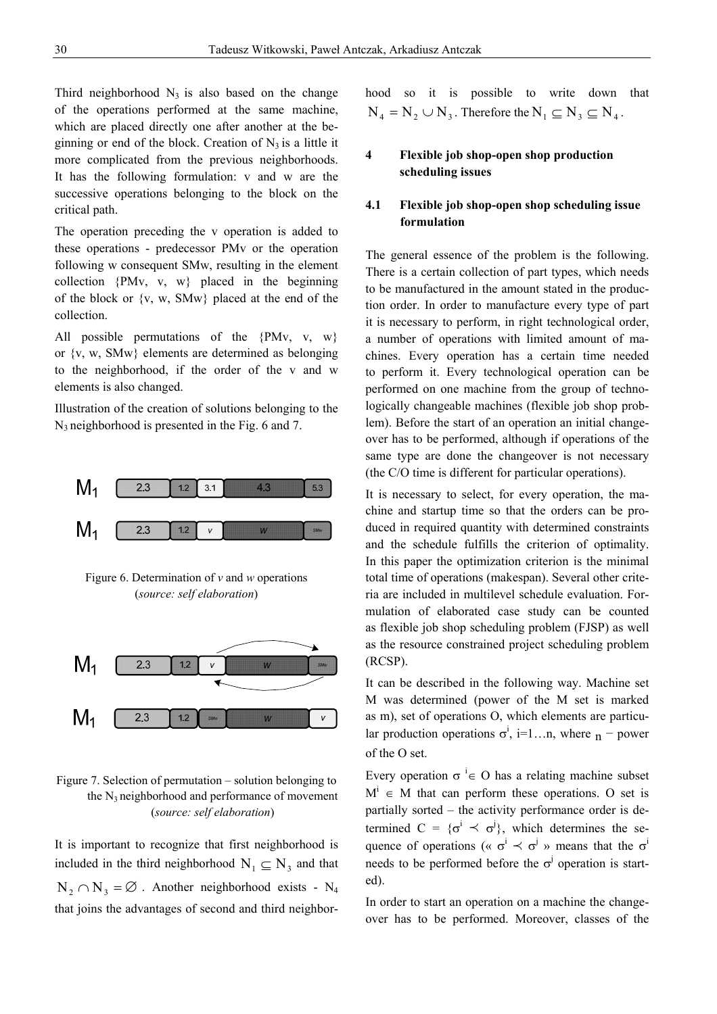Third neighborhood  $N_3$  is also based on the change of the operations performed at the same machine, which are placed directly one after another at the beginning or end of the block. Creation of  $N_3$  is a little it more complicated from the previous neighborhoods. It has the following formulation: v and w are the successive operations belonging to the block on the critical path.

The operation preceding the v operation is added to these operations - predecessor PMv or the operation following w consequent SMw, resulting in the element collection {PMv, v, w} placed in the beginning of the block or  $\{v, w, SMw\}$  placed at the end of the collection.

All possible permutations of the  $\{PMv, v, w\}$ or {v, w, SMw} elements are determined as belonging to the neighborhood, if the order of the v and w elements is also changed.

Illustration of the creation of solutions belonging to the N<sub>3</sub> neighborhood is presented in the Fig. 6 and 7.



Figure 6. Determination of *v* and *w* operations (*source: self elaboration*)



Figure 7. Selection of permutation – solution belonging to the  $N_3$  neighborhood and performance of movement (*source: self elaboration*)

It is important to recognize that first neighborhood is included in the third neighborhood  $N_1 \subseteq N_3$  and that  $N_2 \cap N_3 = \emptyset$ . Another neighborhood exists - N<sub>4</sub> that joins the advantages of second and third neighborhood so it is possible to write down that  $N_4 = N_2 \cup N_3$ . Therefore the  $N_1 \subseteq N_3 \subseteq N_4$ .

## **4 Flexible job shop-open shop production scheduling issues**

# **4.1 Flexible job shop-open shop scheduling issue formulation**

The general essence of the problem is the following. There is a certain collection of part types, which needs to be manufactured in the amount stated in the production order. In order to manufacture every type of part it is necessary to perform, in right technological order, a number of operations with limited amount of machines. Every operation has a certain time needed to perform it. Every technological operation can be performed on one machine from the group of technologically changeable machines (flexible job shop problem). Before the start of an operation an initial changeover has to be performed, although if operations of the same type are done the changeover is not necessary (the C/O time is different for particular operations).

It is necessary to select, for every operation, the machine and startup time so that the orders can be produced in required quantity with determined constraints and the schedule fulfills the criterion of optimality. In this paper the optimization criterion is the minimal total time of operations (makespan). Several other criteria are included in multilevel schedule evaluation. Formulation of elaborated case study can be counted as flexible job shop scheduling problem (FJSP) as well as the resource constrained project scheduling problem (RCSP).

It can be described in the following way. Machine set M was determined (power of the M set is marked as m), set of operations O, which elements are particular production operations  $\sigma^i$ , i=1...n, where  $n$  – power of the O set.

Every operation  $\sigma^i \in O$  has a relating machine subset  $M<sup>i</sup> \in M$  that can perform these operations. O set is partially sorted – the activity performance order is determined  $C = \{ \sigma^i \prec \sigma^j \}$ , which determines the sequence of operations («  $\sigma^i \prec \sigma^j$  » means that the  $\sigma^i$ needs to be performed before the  $\sigma^j$  operation is started).

In order to start an operation on a machine the changeover has to be performed. Moreover, classes of the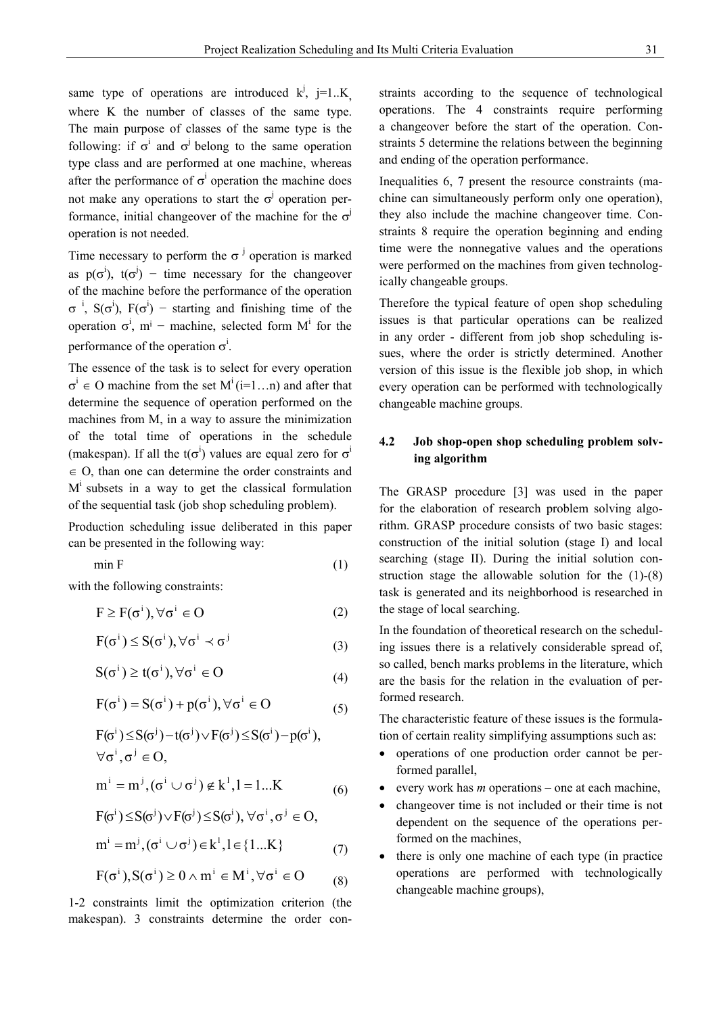same type of operations are introduced  $k^j$ , j=1..K, where K the number of classes of the same type. The main purpose of classes of the same type is the following: if  $\sigma^i$  and  $\sigma^j$  belong to the same operation type class and are performed at one machine, whereas after the performance of  $\sigma^i$  operation the machine does not make any operations to start the  $\sigma^j$  operation performance, initial changeover of the machine for the  $\sigma^j$ operation is not needed.

Time necessary to perform the  $\sigma$ <sup>j</sup> operation is marked as  $p(\sigma^i)$ ,  $t(\sigma^j)$  – time necessary for the changeover of the machine before the performance of the operation  $\sigma$ <sup>i</sup>, S( $\sigma$ <sup>i</sup>), F( $\sigma$ <sup>i</sup>) – starting and finishing time of the operation  $\sigma^i$ , m<sup>i</sup> – machine, selected form M<sup>i</sup> for the performance of the operation  $\sigma^i$ .

The essence of the task is to select for every operation  $\sigma^i \in \Omega$  machine from the set  $M^i$  (i=1...n) and after that determine the sequence of operation performed on the machines from M, in a way to assure the minimization of the total time of operations in the schedule (makespan). If all the  $t(\sigma^i)$  values are equal zero for  $\sigma^i$  $\in$  O, than one can determine the order constraints and  $M<sup>i</sup>$  subsets in a way to get the classical formulation of the sequential task (job shop scheduling problem).

Production scheduling issue deliberated in this paper can be presented in the following way:

$$
\min \mathbf{F} \tag{1}
$$

with the following constraints:

$$
F \ge F(\sigma^i), \forall \sigma^i \in O \tag{2}
$$

$$
F(\sigma^i) \le S(\sigma^i), \forall \sigma^i \prec \sigma^j \tag{3}
$$

$$
S(\sigma^i) \ge t(\sigma^i), \forall \sigma^i \in O \tag{4}
$$

$$
F(\sigma^{i}) = S(\sigma^{i}) + p(\sigma^{i}), \forall \sigma^{i} \in O
$$
 (5)

$$
F(\sigma^i) \le S(\sigma^j) - t(\sigma^j) \vee F(\sigma^j) \le S(\sigma^i) - p(\sigma^i),
$$
  

$$
\forall \sigma^i, \sigma^j \in O,
$$

$$
m^{i} = m^{j}, (\sigma^{i} \cup \sigma^{j}) \notin k^{l}, l = 1...K
$$
 (6)

$$
F(\sigma^i) \leq S(\sigma^j) \vee F(\sigma^j) \leq S(\sigma^i), \,\forall \sigma^i, \sigma^j \in O,
$$

$$
m^{i} = m^{j}, (\sigma^{i} \cup \sigma^{j}) \in k^{l}, l \in \{1...K\}
$$
 (7)

$$
F(\sigma^i), S(\sigma^i) \ge 0 \wedge m^i \in M^i, \forall \sigma^i \in O \qquad (8)
$$

1-2 constraints limit the optimization criterion (the makespan). 3 constraints determine the order constraints according to the sequence of technological operations. The 4 constraints require performing a changeover before the start of the operation. Constraints 5 determine the relations between the beginning and ending of the operation performance.

Inequalities 6, 7 present the resource constraints (machine can simultaneously perform only one operation), they also include the machine changeover time. Constraints 8 require the operation beginning and ending time were the nonnegative values and the operations were performed on the machines from given technologically changeable groups.

Therefore the typical feature of open shop scheduling issues is that particular operations can be realized in any order - different from job shop scheduling issues, where the order is strictly determined. Another version of this issue is the flexible job shop, in which every operation can be performed with technologically changeable machine groups.

# **4.2 Job shop-open shop scheduling problem solving algorithm**

The GRASP procedure [3] was used in the paper for the elaboration of research problem solving algorithm. GRASP procedure consists of two basic stages: construction of the initial solution (stage I) and local searching (stage II). During the initial solution construction stage the allowable solution for the (1)-(8) task is generated and its neighborhood is researched in the stage of local searching.

In the foundation of theoretical research on the scheduling issues there is a relatively considerable spread of, so called, bench marks problems in the literature, which are the basis for the relation in the evaluation of performed research.

The characteristic feature of these issues is the formulation of certain reality simplifying assumptions such as:

- operations of one production order cannot be performed parallel,
- every work has  *operations one at each machine,*
- changeover time is not included or their time is not dependent on the sequence of the operations performed on the machines,
- there is only one machine of each type (in practice operations are performed with technologically changeable machine groups),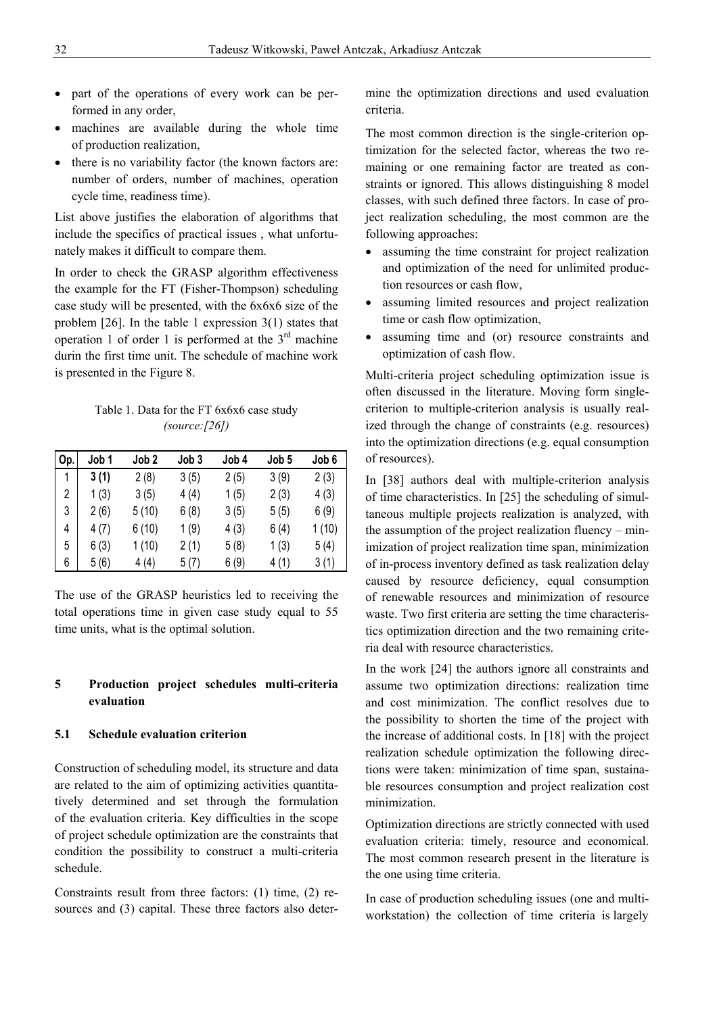- part of the operations of every work can be performed in any order,
- machines are available during the whole time of production realization,
- there is no variability factor (the known factors are: number of orders, number of machines, operation cycle time, readiness time).

List above justifies the elaboration of algorithms that include the specifics of practical issues , what unfortunately makes it difficult to compare them.

In order to check the GRASP algorithm effectiveness the example for the FT (Fisher-Thompson) scheduling case study will be presented, with the 6x6x6 size of the problem [26]. In the table 1 expression 3(1) states that operation 1 of order 1 is performed at the  $3<sup>rd</sup>$  machine durin the first time unit. The schedule of machine work is presented in the Figure 8.

Table 1. Data for the FT 6x6x6 case study *(source:[26])* 

| Op. | Job 1 | Job <sub>2</sub> | Job 3 | Job 4 | Job 5 | Job 6 |
|-----|-------|------------------|-------|-------|-------|-------|
|     | 3(1)  | 2(8)             | 3(5)  | 2(5)  | 3(9)  | 2(3)  |
| 2   | 1(3)  | 3(5)             | 4(4)  | 1(5)  | 2(3)  | 4(3)  |
| 3   | 2(6)  | 5(10)            | 6(8)  | 3(5)  | 5(5)  | 6(9)  |
| 4   | 4 (7) | 6(10)            | 1 (9) | 4(3)  | 6(4)  | 1(10) |
| 5   | 6(3)  | 1 (10)           | 2(1)  | 5(8)  | 1(3)  | 5(4)  |
| 6   | 5(6)  | 4 (4)            | 5(7)  | 6(9)  | 4 (1) | 3(1)  |

The use of the GRASP heuristics led to receiving the total operations time in given case study equal to 55 time units, what is the optimal solution.

## **5 Production project schedules multi-criteria evaluation**

#### **5.1 Schedule evaluation criterion**

Construction of scheduling model, its structure and data are related to the aim of optimizing activities quantitatively determined and set through the formulation of the evaluation criteria. Key difficulties in the scope of project schedule optimization are the constraints that condition the possibility to construct a multi-criteria schedule.

Constraints result from three factors: (1) time, (2) resources and (3) capital. These three factors also determine the optimization directions and used evaluation criteria.

The most common direction is the single-criterion optimization for the selected factor, whereas the two remaining or one remaining factor are treated as constraints or ignored. This allows distinguishing 8 model classes, with such defined three factors. In case of project realization scheduling, the most common are the following approaches:

- assuming the time constraint for project realization and optimization of the need for unlimited production resources or cash flow,
- assuming limited resources and project realization time or cash flow optimization,
- assuming time and (or) resource constraints and optimization of cash flow.

Multi-criteria project scheduling optimization issue is often discussed in the literature. Moving form singlecriterion to multiple-criterion analysis is usually realized through the change of constraints (e.g. resources) into the optimization directions (e.g. equal consumption of resources).

In [38] authors deal with multiple-criterion analysis of time characteristics. In [25] the scheduling of simultaneous multiple projects realization is analyzed, with the assumption of the project realization fluency – minimization of project realization time span, minimization of in-process inventory defined as task realization delay caused by resource deficiency, equal consumption of renewable resources and minimization of resource waste. Two first criteria are setting the time characteristics optimization direction and the two remaining criteria deal with resource characteristics.

In the work [24] the authors ignore all constraints and assume two optimization directions: realization time and cost minimization. The conflict resolves due to the possibility to shorten the time of the project with the increase of additional costs. In [18] with the project realization schedule optimization the following directions were taken: minimization of time span, sustainable resources consumption and project realization cost minimization.

Optimization directions are strictly connected with used evaluation criteria: timely, resource and economical. The most common research present in the literature is the one using time criteria.

In case of production scheduling issues (one and multiworkstation) the collection of time criteria is largely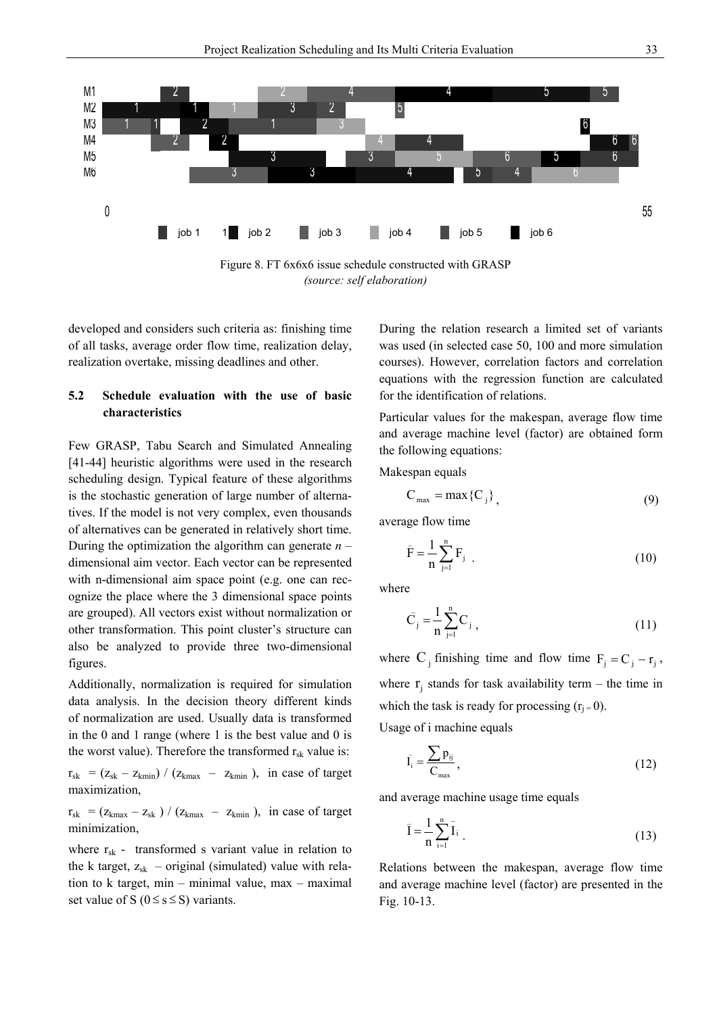

*(source: self elaboration)* 

developed and considers such criteria as: finishing time of all tasks, average order flow time, realization delay, realization overtake, missing deadlines and other.

# **5.2 Schedule evaluation with the use of basic characteristics**

Few GRASP, Tabu Search and Simulated Annealing [41-44] heuristic algorithms were used in the research scheduling design. Typical feature of these algorithms is the stochastic generation of large number of alternatives. If the model is not very complex, even thousands of alternatives can be generated in relatively short time. During the optimization the algorithm can generate  $n$ dimensional aim vector. Each vector can be represented with n-dimensional aim space point (e.g. one can recognize the place where the 3 dimensional space points are grouped). All vectors exist without normalization or other transformation. This point cluster's structure can also be analyzed to provide three two-dimensional figures.

Additionally, normalization is required for simulation data analysis. In the decision theory different kinds of normalization are used. Usually data is transformed in the 0 and 1 range (where 1 is the best value and 0 is the worst value). Therefore the transformed  $r_{sk}$  value is:

 $r_{sk}$  = ( $z_{sk}$  –  $z_{kmin}$ ) / ( $z_{kmax}$  –  $z_{kmin}$ ), in case of target maximization,

 $r_{sk} = (z_{kmax} - z_{sk}) / (z_{kmax} - z_{kmin})$ , in case of target minimization,

where  $r_{sk}$  - transformed s variant value in relation to the k target,  $z_{sk}$  – original (simulated) value with relation to k target, min – minimal value, max – maximal set value of S ( $0 \le s \le S$ ) variants.

During the relation research a limited set of variants was used (in selected case 50, 100 and more simulation courses). However, correlation factors and correlation equations with the regression function are calculated for the identification of relations.

Particular values for the makespan, average flow time and average machine level (factor) are obtained form the following equations:

Makespan equals

$$
C_{\text{max}} = \max \{C_j\},\tag{9}
$$

average flow time

$$
\bar{F} = \frac{1}{n} \sum_{j=1}^{n} F_j
$$
 (10)

where

$$
\bar{C}_j = \frac{1}{n} \sum_{j=1}^{n} C_j \tag{11}
$$

where C<sub>i</sub> finishing time and flow time  $F_i = C_i - r_i$ , where  $r_i$  stands for task availability term – the time in which the task is ready for processing  $(r_i = 0)$ .

Usage of i machine equals

$$
\bar{I}_i = \frac{\sum p_{ij}}{C_{\text{max}}},\tag{12}
$$

and average machine usage time equals

$$
\bar{I} = \frac{1}{n} \sum_{i=1}^{n} \bar{I}_i
$$
\n(13)

Relations between the makespan, average flow time and average machine level (factor) are presented in the Fig. 10-13.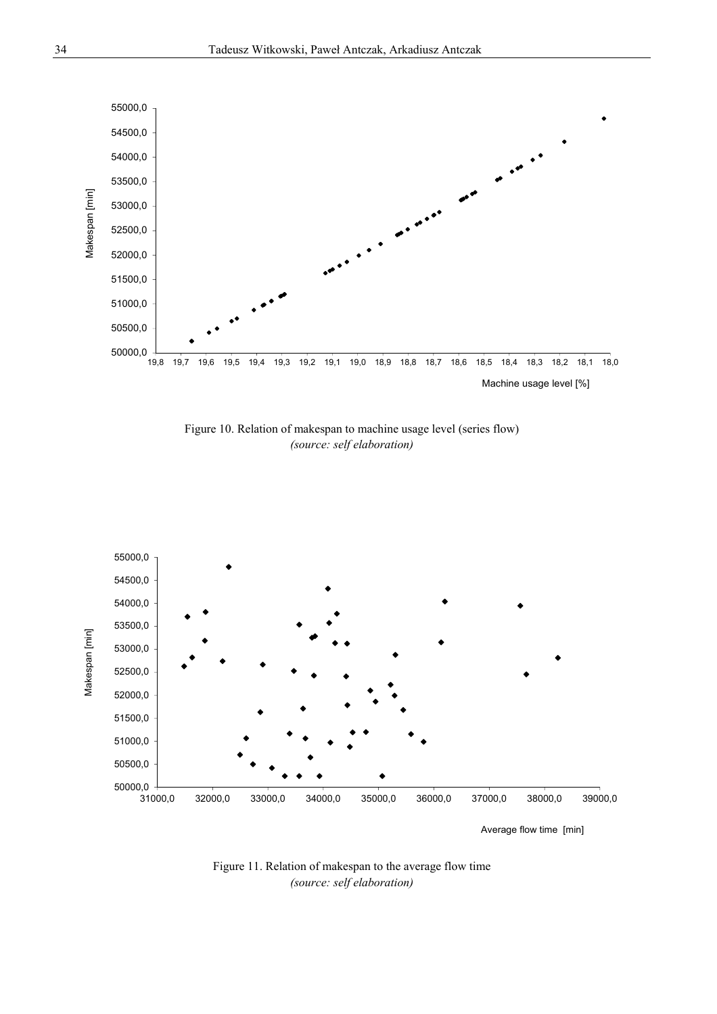

Figure 10. Relation of makespan to machine usage level (series flow) *(source: self elaboration)* 



Figure 11. Relation of makespan to the average flow time *(source: self elaboration)*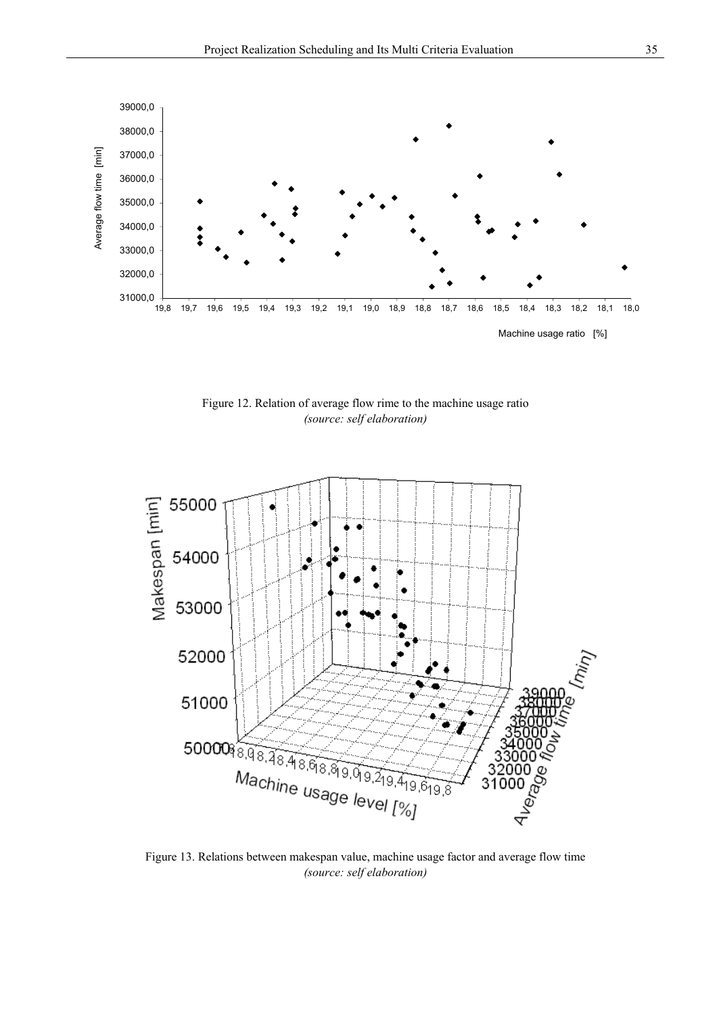

Figure 12. Relation of average flow rime to the machine usage ratio *(source: self elaboration)*



Figure 13. Relations between makespan value, machine usage factor and average flow time *(source: self elaboration)*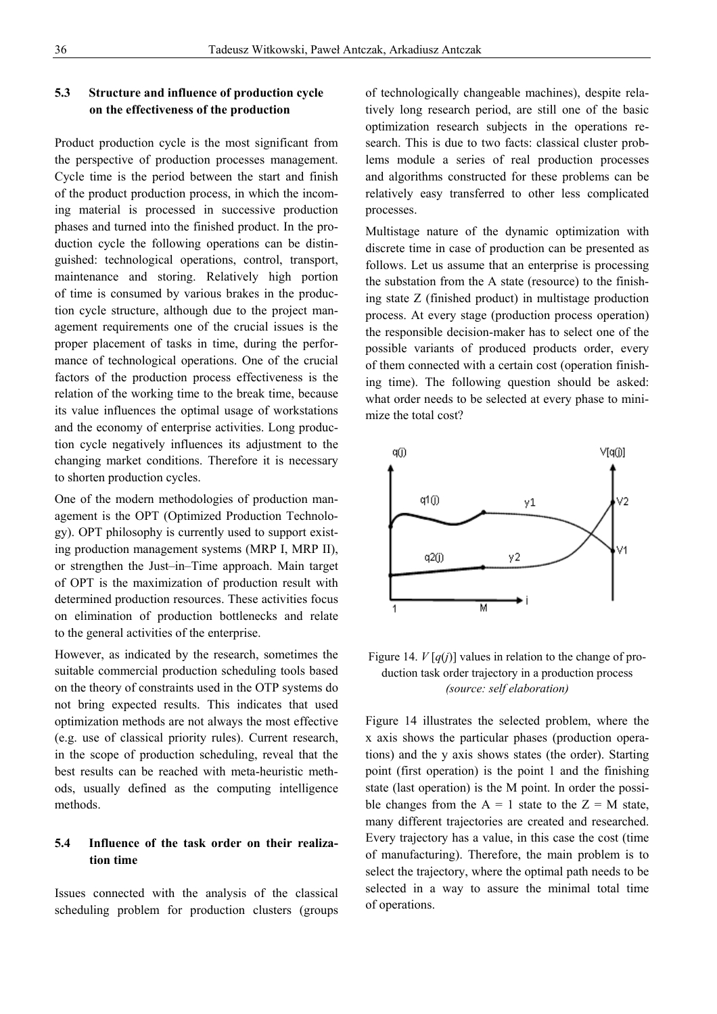# **5.3 Structure and influence of production cycle on the effectiveness of the production**

Product production cycle is the most significant from the perspective of production processes management. Cycle time is the period between the start and finish of the product production process, in which the incoming material is processed in successive production phases and turned into the finished product. In the production cycle the following operations can be distinguished: technological operations, control, transport, maintenance and storing. Relatively high portion of time is consumed by various brakes in the production cycle structure, although due to the project management requirements one of the crucial issues is the proper placement of tasks in time, during the performance of technological operations. One of the crucial factors of the production process effectiveness is the relation of the working time to the break time, because its value influences the optimal usage of workstations and the economy of enterprise activities. Long production cycle negatively influences its adjustment to the changing market conditions. Therefore it is necessary to shorten production cycles.

One of the modern methodologies of production management is the OPT (Optimized Production Technology). OPT philosophy is currently used to support existing production management systems (MRP I, MRP II), or strengthen the Just–in–Time approach. Main target of OPT is the maximization of production result with determined production resources. These activities focus on elimination of production bottlenecks and relate to the general activities of the enterprise.

However, as indicated by the research, sometimes the suitable commercial production scheduling tools based on the theory of constraints used in the OTP systems do not bring expected results. This indicates that used optimization methods are not always the most effective (e.g. use of classical priority rules). Current research, in the scope of production scheduling, reveal that the best results can be reached with meta-heuristic methods, usually defined as the computing intelligence methods.

# **5.4 Influence of the task order on their realization time**

Issues connected with the analysis of the classical scheduling problem for production clusters (groups of technologically changeable machines), despite relatively long research period, are still one of the basic optimization research subjects in the operations research. This is due to two facts: classical cluster problems module a series of real production processes and algorithms constructed for these problems can be relatively easy transferred to other less complicated processes.

Multistage nature of the dynamic optimization with discrete time in case of production can be presented as follows. Let us assume that an enterprise is processing the substation from the A state (resource) to the finishing state Z (finished product) in multistage production process. At every stage (production process operation) the responsible decision-maker has to select one of the possible variants of produced products order, every of them connected with a certain cost (operation finishing time). The following question should be asked: what order needs to be selected at every phase to minimize the total cost?



Figure 14.  $V[q(j)]$  values in relation to the change of production task order trajectory in a production process *(source: self elaboration)*

Figure 14 illustrates the selected problem, where the x axis shows the particular phases (production operations) and the y axis shows states (the order). Starting point (first operation) is the point 1 and the finishing state (last operation) is the M point. In order the possible changes from the  $A = 1$  state to the  $Z = M$  state, many different trajectories are created and researched. Every trajectory has a value, in this case the cost (time of manufacturing). Therefore, the main problem is to select the trajectory, where the optimal path needs to be selected in a way to assure the minimal total time of operations.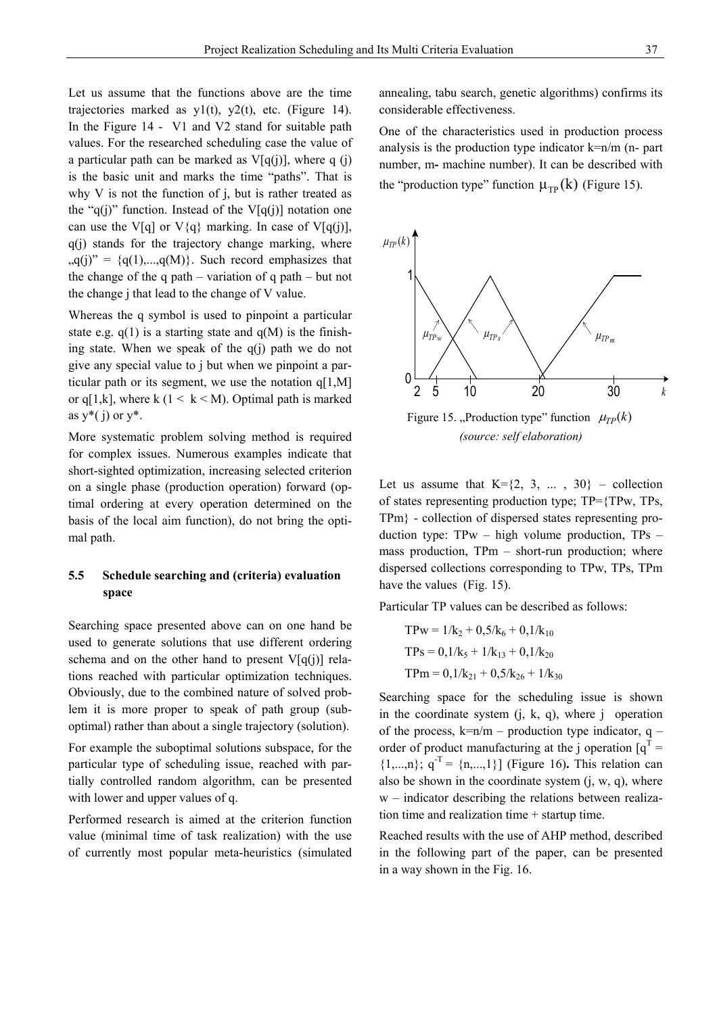Let us assume that the functions above are the time trajectories marked as  $y1(t)$ ,  $y2(t)$ , etc. (Figure 14). In the Figure 14 - V1 and V2 stand for suitable path values. For the researched scheduling case the value of a particular path can be marked as  $V[q(j)]$ , where q (j) is the basic unit and marks the time "paths". That is why V is not the function of j, but is rather treated as the "q(j)" function. Instead of the  $V[q(j)]$  notation one can use the V[q] or V{q} marking. In case of V[q(j)], q(j) stands for the trajectory change marking, where  $g_{n,q}(j)$ " = {q(1),...,q(M)}. Such record emphasizes that the change of the q path – variation of q path – but not the change j that lead to the change of V value.

Whereas the q symbol is used to pinpoint a particular state e.g.  $q(1)$  is a starting state and  $q(M)$  is the finishing state. When we speak of the  $q(i)$  path we do not give any special value to j but when we pinpoint a particular path or its segment, we use the notation  $q[1,M]$ or q[1,k], where k (1 < k < M). Optimal path is marked as  $y^*(j)$  or  $y^*$ .

More systematic problem solving method is required for complex issues. Numerous examples indicate that short-sighted optimization, increasing selected criterion on a single phase (production operation) forward (optimal ordering at every operation determined on the basis of the local aim function), do not bring the optimal path.

# **5.5 Schedule searching and (criteria) evaluation space**

Searching space presented above can on one hand be used to generate solutions that use different ordering schema and on the other hand to present  $V[q(j)]$  relations reached with particular optimization techniques. Obviously, due to the combined nature of solved problem it is more proper to speak of path group (suboptimal) rather than about a single trajectory (solution).

For example the suboptimal solutions subspace, for the particular type of scheduling issue, reached with partially controlled random algorithm, can be presented with lower and upper values of q.

Performed research is aimed at the criterion function value (minimal time of task realization) with the use of currently most popular meta-heuristics (simulated annealing, tabu search, genetic algorithms) confirms its considerable effectiveness.

One of the characteristics used in production process analysis is the production type indicator  $k=n/m$  (n- part number, m**-** machine number). It can be described with the "production type" function  $\mu_{TP}$  (k) (Figure 15).



*(source: self elaboration)*

Let us assume that  $K = \{2, 3, \ldots, 30\}$  – collection of states representing production type; TP={TPw, TPs, TPm} - collection of dispersed states representing production type: TPw – high volume production, TPs – mass production, TPm – short-run production; where dispersed collections corresponding to TPw, TPs, TPm have the values (Fig. 15).

Particular TP values can be described as follows:

$$
TPw = 1/k_2 + 0,5/k_6 + 0,1/k_{10}
$$
  
\n
$$
TPs = 0,1/k_5 + 1/k_{13} + 0,1/k_{20}
$$
  
\n
$$
TPm = 0,1/k_{21} + 0,5/k_{26} + 1/k_{30}
$$

Searching space for the scheduling issue is shown in the coordinate system  $(i, k, q)$ , where j operation of the process,  $k=n/m$  – production type indicator, q – order of product manufacturing at the j operation  $[q^T =$  ${1,...,n}$ ;  $q^T = {n,...,1}$ ] (Figure 16). This relation can also be shown in the coordinate system  $(j, w, q)$ , where w – indicator describing the relations between realization time and realization time + startup time.

Reached results with the use of AHP method, described in the following part of the paper, can be presented in a way shown in the Fig. 16.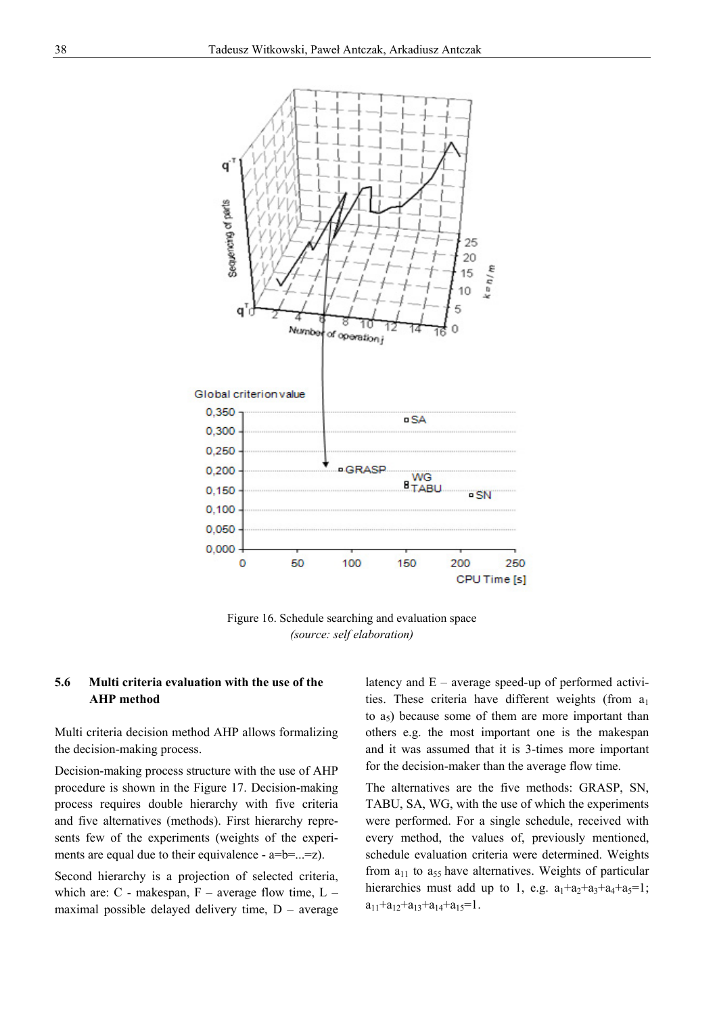

Figure 16. Schedule searching and evaluation space *(source: self elaboration)* 

## **5.6 Multi criteria evaluation with the use of the AHP method**

Multi criteria decision method AHP allows formalizing the decision-making process.

Decision-making process structure with the use of AHP procedure is shown in the Figure 17. Decision-making process requires double hierarchy with five criteria and five alternatives (methods). First hierarchy represents few of the experiments (weights of the experiments are equal due to their equivalence -  $a=b=...=z$ ).

Second hierarchy is a projection of selected criteria, which are:  $C$  - makespan,  $F$  – average flow time,  $L$  – maximal possible delayed delivery time,  $D$  – average latency and  $E -$  average speed-up of performed activities. These criteria have different weights (from  $a_1$ ) to  $a_5$ ) because some of them are more important than others e.g. the most important one is the makespan and it was assumed that it is 3-times more important for the decision-maker than the average flow time.

The alternatives are the five methods: GRASP, SN, TABU, SA, WG, with the use of which the experiments were performed. For a single schedule, received with every method, the values of, previously mentioned, schedule evaluation criteria were determined. Weights from  $a_{11}$  to  $a_{55}$  have alternatives. Weights of particular hierarchies must add up to 1, e.g.  $a_1+a_2+a_3+a_4+a_5=1$ ;  $a_{11}+a_{12}+a_{13}+a_{14}+a_{15}=1$ .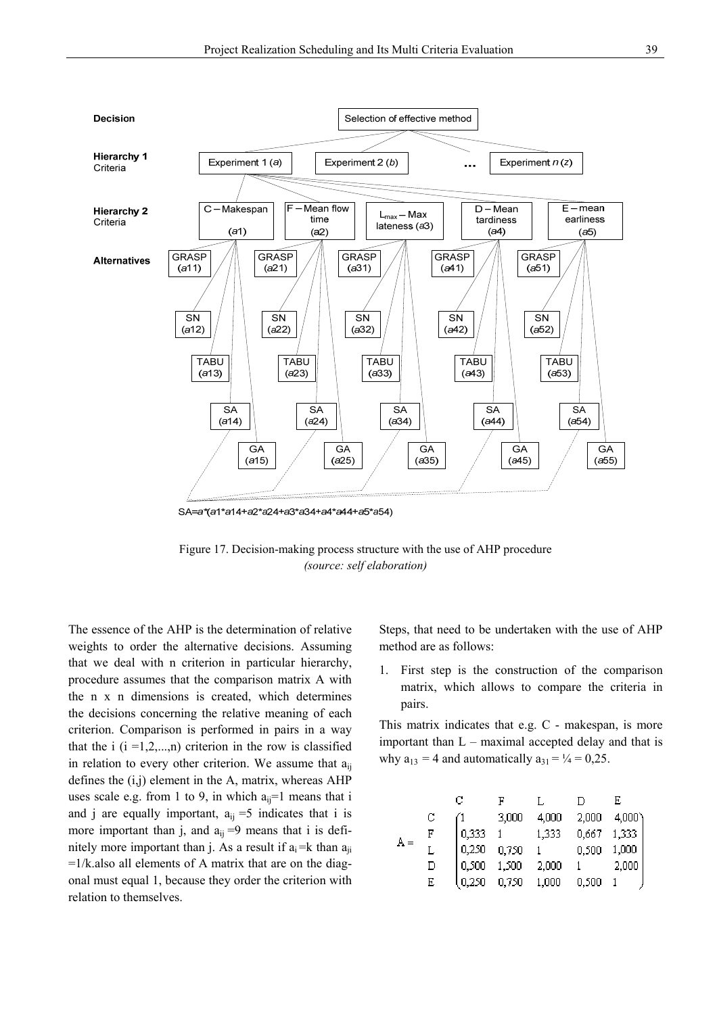

SA=a\*(a1\*a14+a2\*a24+a3\*a34+a4\*a44+a5\*a54)

Figure 17. Decision-making process structure with the use of AHP procedure *(source: self elaboration)* 

The essence of the AHP is the determination of relative weights to order the alternative decisions. Assuming that we deal with n criterion in particular hierarchy, procedure assumes that the comparison matrix A with the n x n dimensions is created, which determines the decisions concerning the relative meaning of each criterion. Comparison is performed in pairs in a way that the i  $(i = 1, 2, \ldots, n)$  criterion in the row is classified in relation to every other criterion. We assume that  $a_{ii}$ defines the  $(i,j)$  element in the A, matrix, whereas AHP uses scale e.g. from 1 to 9, in which  $a_{ii}=1$  means that i and j are equally important,  $a_{ij} = 5$  indicates that i is more important than j, and  $a_{ij} = 9$  means that i is definitely more important than j. As a result if  $a_i = k$  than  $a_{ii}$  $=1/k$ .also all elements of A matrix that are on the diagonal must equal 1, because they order the criterion with relation to themselves.

Steps, that need to be undertaken with the use of AHP method are as follows:

1. First step is the construction of the comparison matrix, which allows to compare the criteria in pairs.

This matrix indicates that e.g. C - makespan, is more important than  $L$  – maximal accepted delay and that is why  $a_{13} = 4$  and automatically  $a_{31} = \frac{1}{4} = 0.25$ .

$$
A = \begin{bmatrix} C & F & L & D & E \\ F & \begin{bmatrix} 1 & 3{,}000 & 4{,}000 & 2{,}000 & 4{,}000 \\ F & 0{,}333 & 1 & 1{,}333 & 0{,}667 & 1{,}333 \\ 0{,}250 & 0{,}750 & 1 & 0{,}500 & 1{,}000 \\ D & \begin{bmatrix} 0{,}500 & 1{,}500 & 2{,}000 & 1 & 2{,}000 \\ 0{,}250 & 0{,}750 & 1{,}000 & 0{,}500 & 1 \end{bmatrix} \end{bmatrix}
$$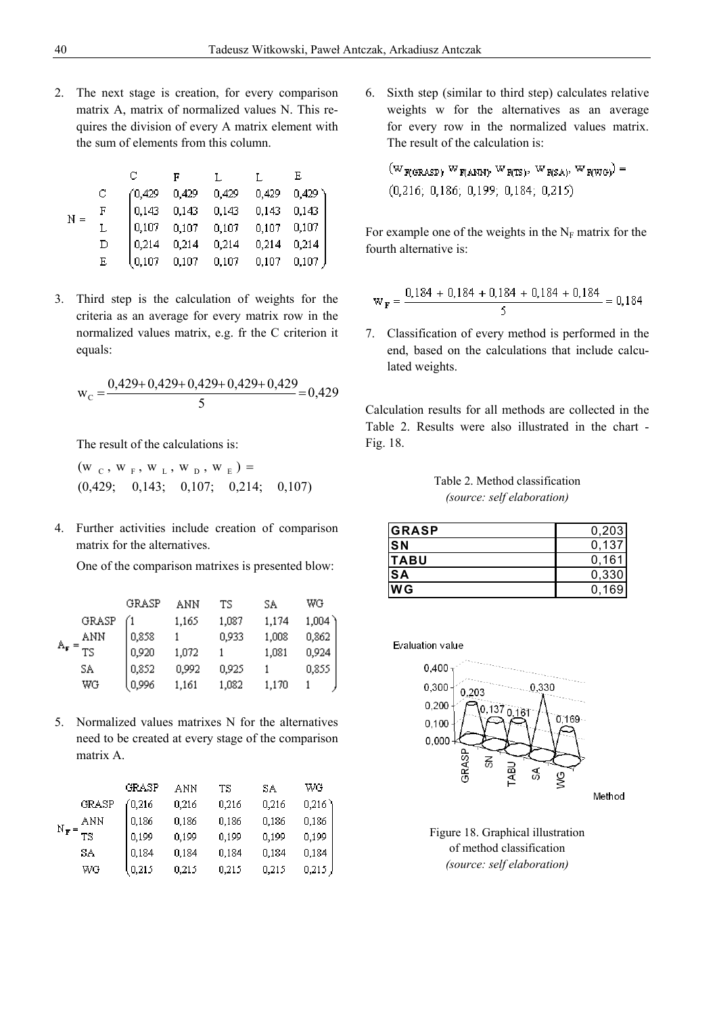2. The next stage is creation, for every comparison matrix A, matrix of normalized values N. This requires the division of every A matrix element with the sum of elements from this column.

|               |                                                                                                                                                                                                                                                                    | $L \quad L$ | E |
|---------------|--------------------------------------------------------------------------------------------------------------------------------------------------------------------------------------------------------------------------------------------------------------------|-------------|---|
| ${\bf N}$ $=$ | $\begin{array}{ccccc} \text{C} & \begin{pmatrix} 0{,}429&0{,}429&0{,}429&0{,}429&0{,}429\\ 0{,}143&0{,}143&0{,}143&0{,}143&0{,}143\\ 0{,}107&0{,}107&0{,}107&0{,}107&0{,}107\\ 0{,}214&0{,}214&0{,}214&0{,}214&0{,}214\\ \text{E} & 0{,}107&0{,}107&0{,}107&0{,}1$ |             |   |
|               |                                                                                                                                                                                                                                                                    |             |   |
|               |                                                                                                                                                                                                                                                                    |             |   |
|               |                                                                                                                                                                                                                                                                    |             |   |
|               |                                                                                                                                                                                                                                                                    |             |   |

3. Third step is the calculation of weights for the criteria as an average for every matrix row in the normalized values matrix, e.g. fr the C criterion it equals:

$$
w_C = \frac{0,429 + 0,429 + 0,429 + 0,429 + 0,429}{5} = 0,429
$$

The result of the calculations is:

(0,429; 0,143; 0,107; 0,214; 0,107)  $(W_{C}, W_{F}, W_{L}, W_{D}, W_{E}) =$ 

4. Further activities include creation of comparison matrix for the alternatives.

One of the comparison matrixes is presented blow:

|  |                               | GRASP   | ANN   | TS.   | SA.   | WG    |
|--|-------------------------------|---------|-------|-------|-------|-------|
|  | GRASP $(1$                    |         | 1,165 | 1,087 | 1,174 | 1,004 |
|  | $\epsilon_{\rm TS}^{\rm ANN}$ | 0,858   |       | 0,933 | 1,008 | 0,862 |
|  |                               | 0,920   | 1,072 |       | 1,081 | 0,924 |
|  | SA                            | 0,852   | 0,992 | 0,925 |       | 0,855 |
|  | WG                            | l 0,996 | 1,161 | 1,082 | 1,170 |       |

5. Normalized values matrixes N for the alternatives need to be created at every stage of the comparison matrix A.

|                                                     | GRASP                   | ANN   | TS    | SA    | WG        |
|-----------------------------------------------------|-------------------------|-------|-------|-------|-----------|
| GRASP                                               | (0, 216)                | 0,216 | 0,216 | 0,216 | 0,216)    |
| $\mathbf{N_{F}} = \frac{\mathbf{ANN}}{\mathbf{TS}}$ | 0,186                   | 0,186 | 0,186 | 0,186 | 0,186     |
|                                                     | 0,199                   | 0,199 | 0,199 | 0,199 | 0,199     |
| SA                                                  | 0,184                   | 0,184 | 0,184 | 0,184 | 0,184     |
| WG                                                  | $\left\{ 0,215\right\}$ | 0,215 | 0,215 | 0,215 | $0,215$ ) |

6. Sixth step (similar to third step) calculates relative weights w for the alternatives as an average for every row in the normalized values matrix. The result of the calculation is:

 $(\mathbf{w}_{\mathbf{F}(\text{GRASP})}, \mathbf{w}_{\mathbf{F}(\text{AMH})}, \mathbf{w}_{\mathbf{F}(\text{TS})}, \mathbf{w}_{\mathbf{F}(\text{SA})}, \mathbf{w}_{\mathbf{F}(\text{WG})}) =$  $(0, 216; 0, 186; 0, 199; 0, 184; 0, 215)$ 

For example one of the weights in the  $N_F$  matrix for the fourth alternative is:

$$
W_F = \frac{0,184 + 0,184 + 0,184 + 0,184 + 0,184}{5} = 0,184
$$

7. Classification of every method is performed in the end, based on the calculations that include calculated weights.

Calculation results for all methods are collected in the Table 2. Results were also illustrated in the chart - Fig. 18.

## Table 2. Method classification *(source: self elaboration)*

| <b>GRASP</b> | 0,203 |
|--------------|-------|
| <b>ISN</b>   | 0,137 |
| <b>TABU</b>  | 0,161 |
| <b>SA</b>    | 0,330 |
| <b>WG</b>    | 0,169 |

Evaluation value



Method

Figure 18. Graphical illustration of method classification *(source: self elaboration)*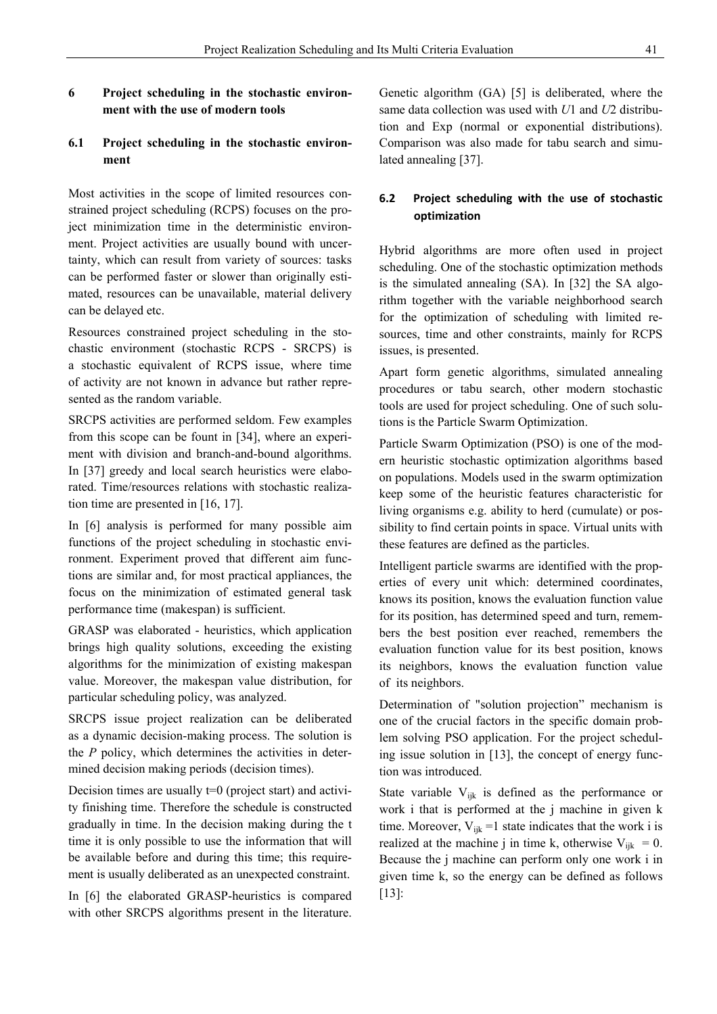# **6 Project scheduling in the stochastic environment with the use of modern tools**

# **6.1 Project scheduling in the stochastic environment**

Most activities in the scope of limited resources constrained project scheduling (RCPS) focuses on the project minimization time in the deterministic environment. Project activities are usually bound with uncertainty, which can result from variety of sources: tasks can be performed faster or slower than originally estimated, resources can be unavailable, material delivery can be delayed etc.

Resources constrained project scheduling in the stochastic environment (stochastic RCPS - SRCPS) is a stochastic equivalent of RCPS issue, where time of activity are not known in advance but rather represented as the random variable.

SRCPS activities are performed seldom. Few examples from this scope can be fount in [34], where an experiment with division and branch-and-bound algorithms. In [37] greedy and local search heuristics were elaborated. Time/resources relations with stochastic realization time are presented in [16, 17].

In [6] analysis is performed for many possible aim functions of the project scheduling in stochastic environment. Experiment proved that different aim functions are similar and, for most practical appliances, the focus on the minimization of estimated general task performance time (makespan) is sufficient.

GRASP was elaborated - heuristics, which application brings high quality solutions, exceeding the existing algorithms for the minimization of existing makespan value. Moreover, the makespan value distribution, for particular scheduling policy, was analyzed.

SRCPS issue project realization can be deliberated as a dynamic decision-making process. The solution is the *P* policy, which determines the activities in determined decision making periods (decision times).

Decision times are usually t=0 (project start) and activity finishing time. Therefore the schedule is constructed gradually in time. In the decision making during the t time it is only possible to use the information that will be available before and during this time; this requirement is usually deliberated as an unexpected constraint.

In [6] the elaborated GRASP-heuristics is compared with other SRCPS algorithms present in the literature. Genetic algorithm (GA) [5] is deliberated, where the same data collection was used with *U*1 and *U*2 distribution and Exp (normal or exponential distributions). Comparison was also made for tabu search and simulated annealing [37].

# **6.2 Project scheduling with the use of stochastic optimization**

Hybrid algorithms are more often used in project scheduling. One of the stochastic optimization methods is the simulated annealing (SA). In [32] the SA algorithm together with the variable neighborhood search for the optimization of scheduling with limited resources, time and other constraints, mainly for RCPS issues, is presented.

Apart form genetic algorithms, simulated annealing procedures or tabu search, other modern stochastic tools are used for project scheduling. One of such solutions is the Particle Swarm Optimization.

Particle Swarm Optimization (PSO) is one of the modern heuristic stochastic optimization algorithms based on populations. Models used in the swarm optimization keep some of the heuristic features characteristic for living organisms e.g. ability to herd (cumulate) or possibility to find certain points in space. Virtual units with these features are defined as the particles.

Intelligent particle swarms are identified with the properties of every unit which: determined coordinates, knows its position, knows the evaluation function value for its position, has determined speed and turn, remembers the best position ever reached, remembers the evaluation function value for its best position, knows its neighbors, knows the evaluation function value of its neighbors.

Determination of "solution projection" mechanism is one of the crucial factors in the specific domain problem solving PSO application. For the project scheduling issue solution in [13], the concept of energy function was introduced.

State variable  $V_{ijk}$  is defined as the performance or work i that is performed at the j machine in given k time. Moreover,  $V_{ijk} = 1$  state indicates that the work i is realized at the machine j in time k, otherwise  $V_{ijk} = 0$ . Because the j machine can perform only one work i in given time k, so the energy can be defined as follows [13]: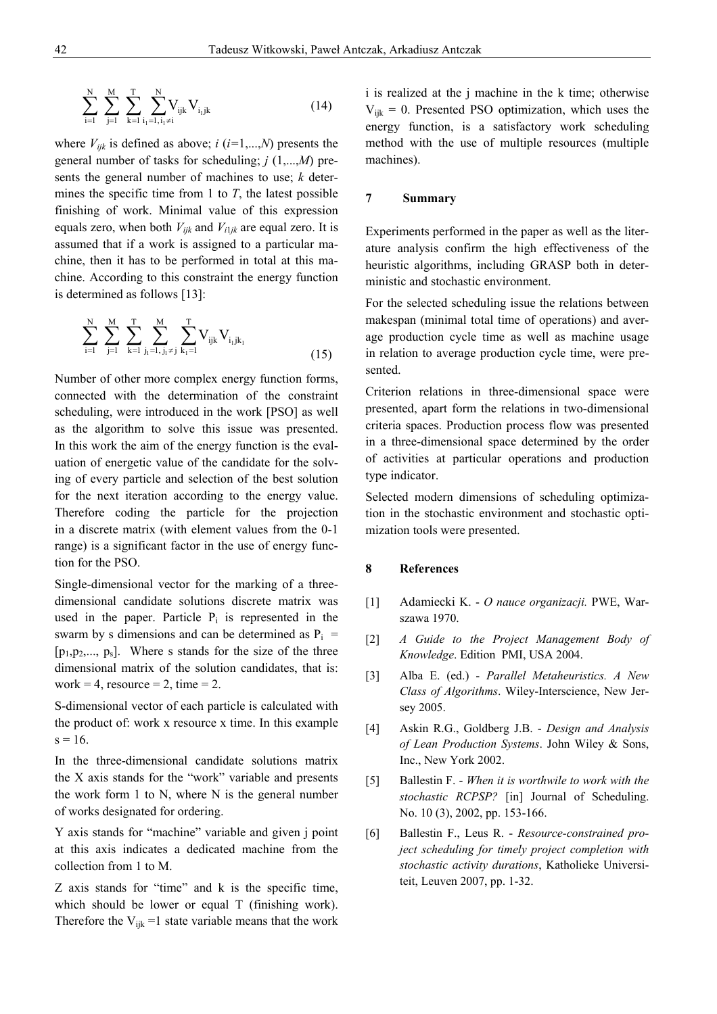$$
\sum_{i=1}^{N} \sum_{j=1}^{M} \sum_{k=1}^{T} \sum_{i_1=1, i_1 \neq i}^{N} V_{ijk} V_{i_1 jk}
$$
 (14)

where  $V_{ijk}$  is defined as above; *i* (*i*=1,...,*N*) presents the general number of tasks for scheduling; *j* (1,...,*M*) presents the general number of machines to use; *k* determines the specific time from 1 to  $T$ , the latest possible finishing of work. Minimal value of this expression equals zero, when both  $V_{ijk}$  and  $V_{i1jk}$  are equal zero. It is assumed that if a work is assigned to a particular machine, then it has to be performed in total at this machine. According to this constraint the energy function is determined as follows [13]:

$$
\sum_{i=1}^{N} \sum_{j=1}^{M} \sum_{k=1}^{T} \sum_{j_1=1, j_1 \neq j}^{M} \sum_{k_1=1}^{T} V_{ijk} V_{i_1 j k_1}
$$
\n(15)

Number of other more complex energy function forms, connected with the determination of the constraint scheduling, were introduced in the work [PSO] as well as the algorithm to solve this issue was presented. In this work the aim of the energy function is the evaluation of energetic value of the candidate for the solving of every particle and selection of the best solution for the next iteration according to the energy value. Therefore coding the particle for the projection in a discrete matrix (with element values from the 0-1 range) is a significant factor in the use of energy function for the PSO.

Single-dimensional vector for the marking of a threedimensional candidate solutions discrete matrix was used in the paper. Particle  $P_i$  is represented in the swarm by s dimensions and can be determined as  $P_i$  =  $[p_1, p_2, \ldots, p_s]$ . Where s stands for the size of the three dimensional matrix of the solution candidates, that is: work = 4, resource = 2, time = 2.

S-dimensional vector of each particle is calculated with the product of: work x resource x time. In this example  $s = 16$ .

In the three-dimensional candidate solutions matrix the X axis stands for the "work" variable and presents the work form 1 to N, where N is the general number of works designated for ordering.

Y axis stands for "machine" variable and given j point at this axis indicates a dedicated machine from the collection from 1 to M.

Z axis stands for "time" and k is the specific time, which should be lower or equal T (finishing work). Therefore the  $V_{ijk}$  =1 state variable means that the work

i is realized at the j machine in the k time; otherwise  $V_{ijk} = 0$ . Presented PSO optimization, which uses the energy function, is a satisfactory work scheduling method with the use of multiple resources (multiple machines).

## **7 Summary**

Experiments performed in the paper as well as the literature analysis confirm the high effectiveness of the heuristic algorithms, including GRASP both in deterministic and stochastic environment.

For the selected scheduling issue the relations between makespan (minimal total time of operations) and average production cycle time as well as machine usage in relation to average production cycle time, were presented.

Criterion relations in three-dimensional space were presented, apart form the relations in two-dimensional criteria spaces. Production process flow was presented in a three-dimensional space determined by the order of activities at particular operations and production type indicator.

Selected modern dimensions of scheduling optimization in the stochastic environment and stochastic optimization tools were presented.

#### **8 References**

- [1] Adamiecki K. *O nauce organizacji.* PWE, Warszawa 1970.
- [2] *A Guide to the Project Management Body of Knowledge*. Edition PMI, USA 2004.
- [3] Alba E. (ed.) *Parallel Metaheuristics. A New Class of Algorithms*. Wiley-Interscience, New Jersey 2005.
- [4] Askin R.G., Goldberg J.B. *Design and Analysis of Lean Production Systems*. John Wiley & Sons, Inc., New York 2002.
- [5] Ballestin F. *When it is worthwile to work with the stochastic RCPSP?* [in] Journal of Scheduling. No. 10 (3), 2002, pp. 153-166.
- [6] Ballestin F., Leus R. *Resource-constrained project scheduling for timely project completion with stochastic activity durations*, Katholieke Universiteit, Leuven 2007, pp. 1-32.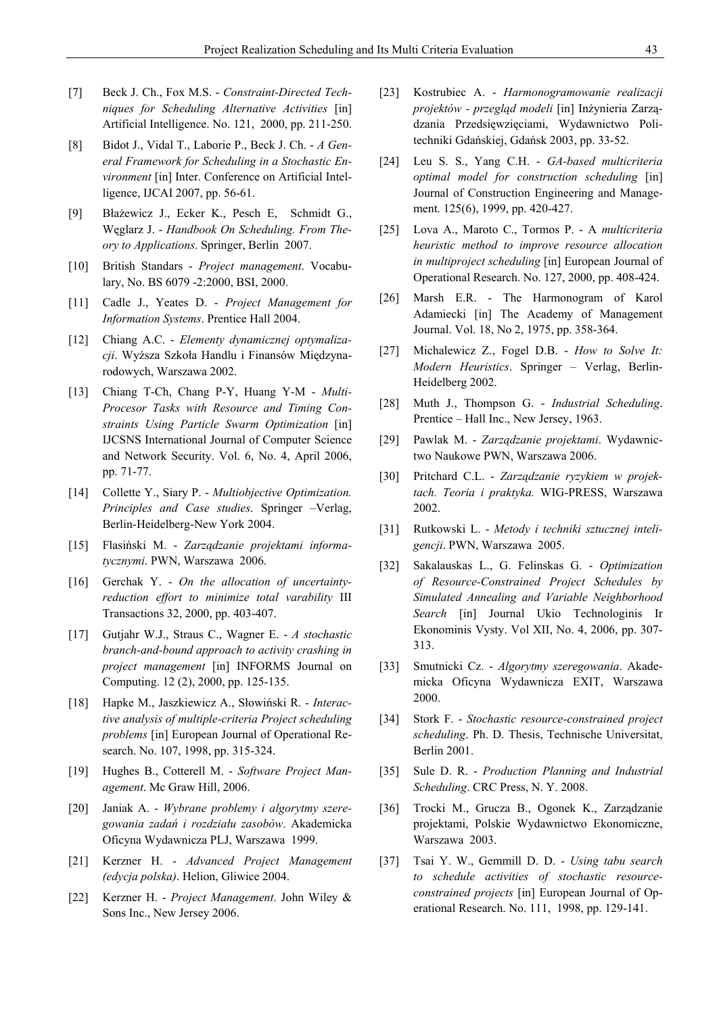- [7] Beck J. Ch., Fox M.S. *Constraint-Directed Techniques for Scheduling Alternative Activities* [in] Artificial Intelligence. No. 121, 2000, pp. 211-250.
- [8] Bidot J., Vidal T., Laborie P., Beck J. Ch. *A General Framework for Scheduling in a Stochastic Environment* [in] Inter. Conference on Artificial Intelligence, IJCAI 2007, pp. 56-61.
- [9] Błażewicz J., Ecker K., Pesch E, Schmidt G., Węglarz J. - *Handbook On Scheduling. From Theory to Applications*. Springer, Berlin 2007.
- [10] British Standars *Project management*. Vocabulary, No. BS 6079 -2:2000, BSI, 2000.
- [11] Cadle J., Yeates D. *Project Management for Information Systems*. Prentice Hall 2004.
- [12] Chiang A.C. *Elementy dynamicznej optymalizacji*. Wyższa Szkoła Handlu i Finansów Międzynarodowych, Warszawa 2002.
- [13] Chiang T-Ch, Chang P-Y, Huang Y-M *Multi-Procesor Tasks with Resource and Timing Constraints Using Particle Swarm Optimization* [in] IJCSNS International Journal of Computer Science and Network Security. Vol. 6, No. 4, April 2006, pp. 71-77.
- [14] Collette Y., Siary P. *Multiobjective Optimization. Principles and Case studies*. Springer –Verlag, Berlin-Heidelberg-New York 2004.
- [15] Flasiński M. *Zarządzanie projektami informatycznymi*. PWN, Warszawa 2006.
- [16] Gerchak Y. *On the allocation of uncertaintyreduction effort to minimize total varability* III Transactions 32, 2000, pp. 403-407.
- [17] Gutjahr W.J., Straus C., Wagner E. *A stochastic branch-and-bound approach to activity crashing in project management* [in] INFORMS Journal on Computing. 12 (2), 2000, pp. 125-135.
- [18] Hapke M., Jaszkiewicz A., Słowiński R. *Interactive analysis of multiple-criteria Project scheduling problems* [in] European Journal of Operational Research. No. 107, 1998, pp. 315-324.
- [19] Hughes B., Cotterell M. *Software Project Management*. Mc Graw Hill, 2006.
- [20] Janiak A. *Wybrane problemy i algorytmy szeregowania zadań i rozdziału zasobów*. Akademicka Oficyna Wydawnicza PLJ, Warszawa 1999.
- [21] Kerzner H. *Advanced Project Management (edycja polska)*. Helion, Gliwice 2004.
- [22] Kerzner H. *Project Management*. John Wiley & Sons Inc., New Jersey 2006.
- [23] Kostrubiec A. *Harmonogramowanie realizacji projektów - przegląd modeli* [in] Inżynieria Zarządzania Przedsięwzięciami, Wydawnictwo Politechniki Gdańskiej, Gdańsk 2003, pp. 33-52.
- [24] Leu S. S., Yang C.H. *GA-based multicriteria optimal model for construction scheduling* [in] Journal of Construction Engineering and Management. 125(6), 1999, pp. 420-427.
- [25] Lova A., Maroto C., Tormos P. A *multicriteria heuristic method to improve resource allocation in multiproject scheduling* [in] European Journal of Operational Research. No. 127, 2000, pp. 408-424.
- [26] Marsh E.R. The Harmonogram of Karol Adamiecki [in] The Academy of Management Journal. Vol. 18, No 2, 1975, pp. 358-364.
- [27] Michalewicz Z., Fogel D.B. *How to Solve It: Modern Heuristics*. Springer – Verlag, Berlin-Heidelberg 2002.
- [28] Muth J., Thompson G. *Industrial Scheduling*. Prentice – Hall Inc., New Jersey, 1963.
- [29] Pawlak M. *Zarządzanie projektami*. Wydawnictwo Naukowe PWN, Warszawa 2006.
- [30] Pritchard C.L. *Zarządzanie ryzykiem w projektach. Teoria i praktyka.* WIG-PRESS, Warszawa 2002.
- [31] Rutkowski L. *Metody i techniki sztucznej inteligencji*. PWN, Warszawa 2005.
- [32] Sakalauskas L., G. Felinskas G. *Optimization of Resource-Constrained Project Schedules by Simulated Annealing and Variable Neighborhood Search* [in] Journal Ukio Technologinis Ir Ekonominis Vysty. Vol XII, No. 4, 2006, pp. 307- 313.
- [33] Smutnicki Cz. *Algorytmy szeregowania*. Akademicka Oficyna Wydawnicza EXIT, Warszawa 2000.
- [34] Stork F. *Stochastic resource-constrained project scheduling*. Ph. D. Thesis, Technische Universitat, Berlin 2001.
- [35] Sule D. R. *Production Planning and Industrial Scheduling*. CRC Press, N. Y. 2008.
- [36] Trocki M., Grucza B., Ogonek K., Zarządzanie projektami, Polskie Wydawnictwo Ekonomiczne, Warszawa 2003.
- [37] Tsai Y. W., Gemmill D. D. *Using tabu search to schedule activities of stochastic resourceconstrained projects* [in] European Journal of Operational Research. No. 111, 1998, pp. 129-141.